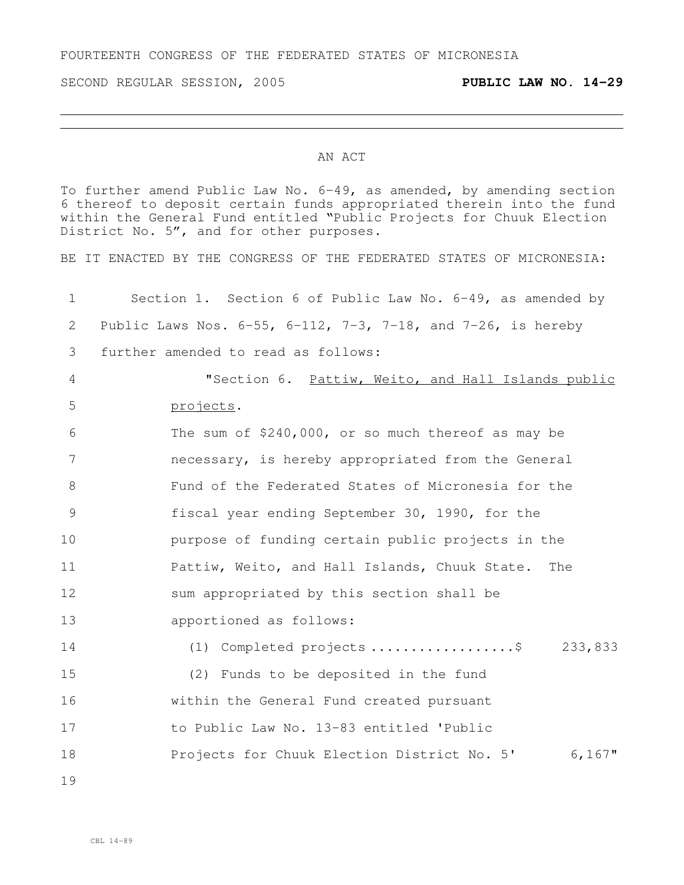FOURTEENTH CONGRESS OF THE FEDERATED STATES OF MICRONESIA

SECOND REGULAR SESSION, 2005 **PUBLIC LAW NO. 14-29**

## AN ACT

To further amend Public Law No. 6-49, as amended, by amending section thereof to deposit certain funds appropriated therein into the fund within the General Fund entitled "Public Projects for Chuuk Election District No. 5", and for other purposes.

BE IT ENACTED BY THE CONGRESS OF THE FEDERATED STATES OF MICRONESIA:

 Section 1. Section 6 of Public Law No. 6-49, as amended by Public Laws Nos. 6-55, 6-112, 7-3, 7-18, and 7-26, is hereby further amended to read as follows: "Section 6. Pattiw, Weito, and Hall Islands public projects. The sum of \$240,000, or so much thereof as may be necessary, is hereby appropriated from the General Fund of the Federated States of Micronesia for the fiscal year ending September 30, 1990, for the purpose of funding certain public projects in the Pattiw, Weito, and Hall Islands, Chuuk State. The sum appropriated by this section shall be apportioned as follows: (1) Completed projects ..................\$ 233,833 (2) Funds to be deposited in the fund within the General Fund created pursuant to Public Law No. 13-83 entitled 'Public Projects for Chuuk Election District No. 5' 6,167"